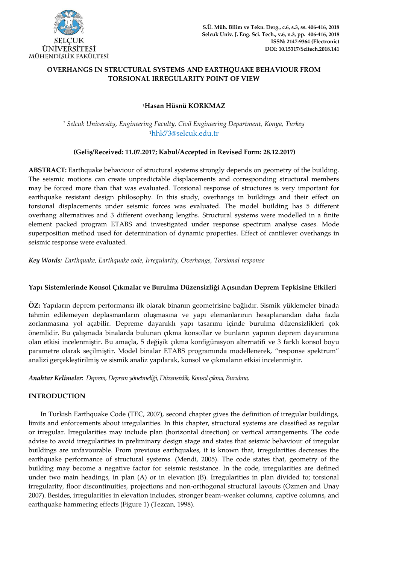

# **OVERHANGS IN STRUCTURAL SYSTEMS AND EARTHQUAKE BEHAVIOUR FROM TORSIONAL IRREGULARITY POINT OF VIEW**

# **<sup>1</sup>Hasan Hüsnü KORKMAZ**

*<sup>1</sup> Selcuk University, Engineering Faculty, Civil Engineering Department, Konya, Turkey* <sup>1</sup>hhk73@selcuk.edu.tr

## **(Geliş/Received: 11.07.2017; Kabul/Accepted in Revised Form: 28.12.2017)**

**ABSTRACT:** Earthquake behaviour of structural systems strongly depends on geometry of the building. The seismic motions can create unpredictable displacements and corresponding structural members may be forced more than that was evaluated. Torsional response of structures is very important for earthquake resistant design philosophy. In this study, overhangs in buildings and their effect on torsional displacements under seismic forces was evaluated. The model building has 5 different overhang alternatives and 3 different overhang lengths. Structural systems were modelled in a finite element packed program ETABS and investigated under response spectrum analyse cases. Mode superposition method used for determination of dynamic properties. Effect of cantilever overhangs in seismic response were evaluated.

*Key Words: Earthquake, Earthquake code, Irregularity, Overhangs, Torsional response*

# **Yapı Sistemlerinde Konsol Çıkmalar ve Burulma Düzensizliği Açısından Deprem Tepkisine Etkileri**

**ÖZ:** Yapıların deprem performansı ilk olarak binanın geometrisine bağlıdır. Sismik yüklemeler binada tahmin edilemeyen deplasmanların oluşmasına ve yapı elemanlarının hesaplanandan daha fazla zorlanmasına yol açabilir. Depreme dayanıklı yapı tasarımı içinde burulma düzensizlikleri çok önemlidir. Bu çalışmada binalarda bulunan çıkma konsollar ve bunların yapının deprem dayanımına olan etkisi incelenmiştir. Bu amaçla, 5 değişik çıkma konfigürasyon alternatifi ve 3 farklı konsol boyu parametre olarak seçilmiştir. Model binalar ETABS programında modellenerek, "response spektrum" analizi gerçekleştirilmiş ve sismik analiz yapılarak, konsol ve çıkmaların etkisi incelenmiştir.

*Anahtar Kelimeler: Deprem, Deprem yönetmeliği, Düzensizlik, Konsol çıkma, Burulma,* 

# **INTRODUCTION**

In Turkish Earthquake Code (TEC, 2007), second chapter gives the definition of irregular buildings, limits and enforcements about irregularities. In this chapter, structural systems are classified as regular or irregular. Irregularities may include plan (horizontal direction) or vertical arrangements. The code advise to avoid irregularities in preliminary design stage and states that seismic behaviour of irregular buildings are unfavourable. From previous earthquakes, it is known that, irregularities decreases the earthquake performance of structural systems. (Mendi, 2005). The code states that, geometry of the building may become a negative factor for seismic resistance. In the code, irregularities are defined under two main headings, in plan (A) or in elevation (B). Irregularities in plan divided to; torsional irregularity, floor discontinuities, projections and non-orthogonal structural layouts (Ozmen and Unay 2007). Besides, irregularities in elevation includes, stronger beam-weaker columns, captive columns, and earthquake hammering effects (Figure 1) (Tezcan, 1998).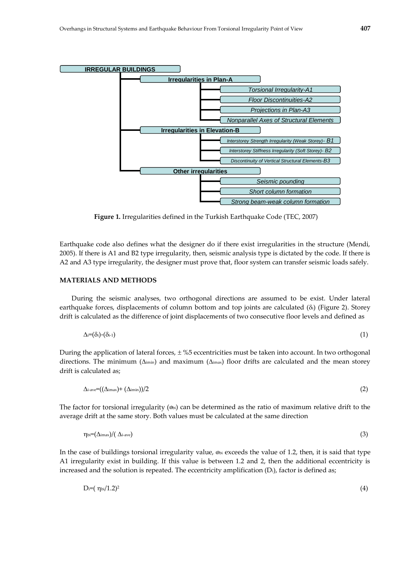

**Figure 1.** Irregularities defined in the Turkish Earthquake Code (TEC, 2007)

Earthquake code also defines what the designer do if there exist irregularities in the structure (Mendi, 2005). If there is A1 and B2 type irregularity, then, seismic analysis type is dictated by the code. If there is A2 and A3 type irregularity, the designer must prove that, floor system can transfer seismic loads safely.

## **MATERIALS AND METHODS**

During the seismic analyses, two orthogonal directions are assumed to be exist. Under lateral earthquake forces, displacements of column bottom and top joints are calculated  $(\delta_i)$  (Figure 2). Storey drift is calculated as the difference of joint displacements of two consecutive floor levels and defined as

$$
\Delta = (\delta_i) - (\delta_{i-1}) \tag{1}
$$

During the application of lateral forces,  $\pm$  %5 eccentricities must be taken into account. In two orthogonal directions. The minimum ( $\Delta$ imin) and maximum ( $\Delta$ imax) floor drifts are calculated and the mean storey drift is calculated as;

$$
\Delta i\text{-ave} = ((\Delta \text{ima}) + (\Delta \text{imin})) / 2 \tag{2}
$$

The factor for torsional irregularity ( $\otimes$ bi) can be determined as the ratio of maximum relative drift to the average drift at the same story. Both values must be calculated at the same direction

$$
\eta_{\text{bi}} = (\Delta_{\text{imax}})/(\Delta_{\text{i-ave}}) \tag{3}
$$

In the case of buildings torsional irregularity value,  $\phi_{bi}$  exceeds the value of 1.2, then, it is said that type A1 irregularity exist in building. If this value is between 1.2 and 2, then the additional eccentricity is increased and the solution is repeated. The eccentricity amplification (Di), factor is defined as;

$$
D_i = (\eta_{bi}/1.2)^2 \tag{4}
$$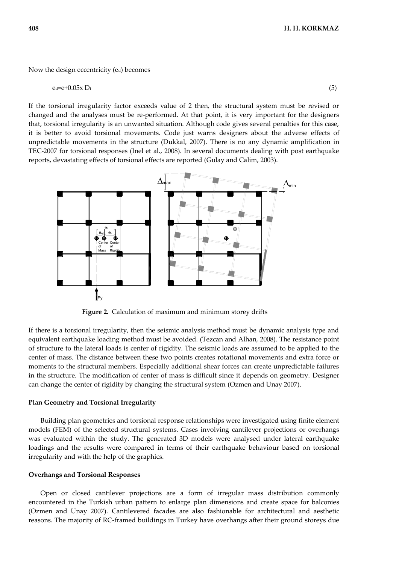Now the design eccentricity (ed) becomes

 $ea=0.05x D_i$  (5)

If the torsional irregularity factor exceeds value of 2 then, the structural system must be revised or changed and the analyses must be re-performed. At that point, it is very important for the designers that, torsional irregularity is an unwanted situation. Although code gives several penalties for this case, it is better to avoid torsional movements. Code just warns designers about the adverse effects of unpredictable movements in the structure (Dukkal, 2007). There is no any dynamic amplification in TEC-2007 for torsional responses (Inel et al., 2008). In several documents dealing with post earthquake reports, devastating effects of torsional effects are reported (Gulay and Calim, 2003).



**Figure 2.** Calculation of maximum and minimum storey drifts

If there is a torsional irregularity, then the seismic analysis method must be dynamic analysis type and equivalent earthquake loading method must be avoided. (Tezcan and Alhan, 2008). The resistance point of structure to the lateral loads is center of rigidity. The seismic loads are assumed to be applied to the center of mass. The distance between these two points creates rotational movements and extra force or moments to the structural members. Especially additional shear forces can create unpredictable failures in the structure. The modification of center of mass is difficult since it depends on geometry. Designer can change the center of rigidity by changing the structural system (Ozmen and Unay 2007).

#### **Plan Geometry and Torsional Irregularity**

Building plan geometries and torsional response relationships were investigated using finite element models (FEM) of the selected structural systems. Cases involving cantilever projections or overhangs was evaluated within the study. The generated 3D models were analysed under lateral earthquake loadings and the results were compared in terms of their earthquake behaviour based on torsional irregularity and with the help of the graphics.

### **Overhangs and Torsional Responses**

Open or closed cantilever projections are a form of irregular mass distribution commonly encountered in the Turkish urban pattern to enlarge plan dimensions and create space for balconies (Ozmen and Unay 2007). Cantilevered facades are also fashionable for architectural and aesthetic reasons. The majority of RC-framed buildings in Turkey have overhangs after their ground storeys due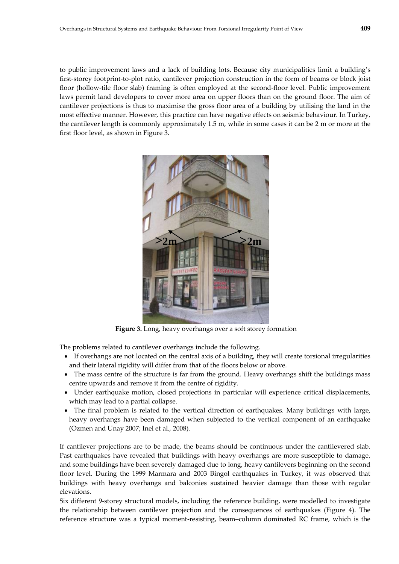to public improvement laws and a lack of building lots. Because city municipalities limit a building's first-storey footprint-to-plot ratio, cantilever projection construction in the form of beams or block joist floor (hollow-tile floor slab) framing is often employed at the second-floor level. Public improvement laws permit land developers to cover more area on upper floors than on the ground floor. The aim of cantilever projections is thus to maximise the gross floor area of a building by utilising the land in the most effective manner. However, this practice can have negative effects on seismic behaviour. In Turkey, the cantilever length is commonly approximately 1.5 m, while in some cases it can be 2 m or more at the first floor level, as shown in Figure 3.



**Figure 3.** Long, heavy overhangs over a soft storey formation

The problems related to cantilever overhangs include the following.

- If overhangs are not located on the central axis of a building, they will create torsional irregularities and their lateral rigidity will differ from that of the floors below or above.
- The mass centre of the structure is far from the ground. Heavy overhangs shift the buildings mass centre upwards and remove it from the centre of rigidity.
- Under earthquake motion, closed projections in particular will experience critical displacements, which may lead to a partial collapse.
- The final problem is related to the vertical direction of earthquakes. Many buildings with large, heavy overhangs have been damaged when subjected to the vertical component of an earthquake (Ozmen and Unay 2007; Inel et al., 2008).

If cantilever projections are to be made, the beams should be continuous under the cantilevered slab. Past earthquakes have revealed that buildings with heavy overhangs are more susceptible to damage, and some buildings have been severely damaged due to long, heavy cantilevers beginning on the second floor level. During the 1999 Marmara and 2003 Bingol earthquakes in Turkey, it was observed that buildings with heavy overhangs and balconies sustained heavier damage than those with regular elevations.

Six different 9-storey structural models, including the reference building, were modelled to investigate the relationship between cantilever projection and the consequences of earthquakes (Figure 4). The reference structure was a typical moment-resisting, beam–column dominated RC frame, which is the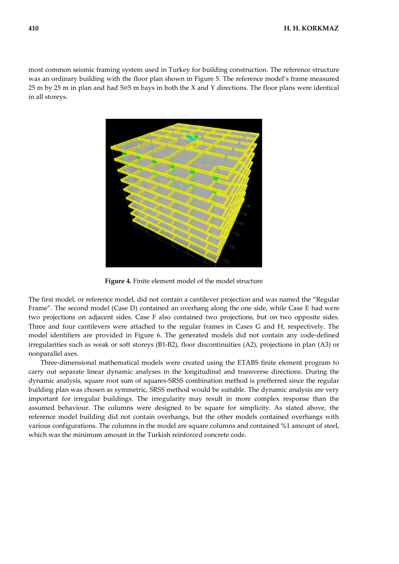most common seismic framing system used in Turkey for building construction. The reference structure was an ordinary building with the floor plan shown in Figure 5. The reference model's frame measured 25 m by 25 m in plan and had 5@5 m bays in both the X and Y directions. The floor plans were identical in all storeys.



**Figure 4.** Finite element model of the model structure

The first model, or reference model, did not contain a cantilever projection and was named the "Regular Frame". The second model (Case D) contained an overhang along the one side, while Case E had were two projections on adjacent sides. Case F also contained two projections, but on two opposite sides. Three and four cantilevers were attached to the regular frames in Cases G and H, respectively. The model identifiers are provided in Figure 6. The generated models did not contain any code-defined irregularities such as weak or soft storeys (B1-B2), floor discontinuities (A2), projections in plan (A3) or nonparallel axes.

Three-dimensional mathematical models were created using the ETABS finite element program to carry out separate linear dynamic analyses in the longitudinal and transverse directions. During the dynamic analysis, square root sum of squares-SRSS combination method is prefferred since the regular building plan was chosen as symmetric, SRSS method would be suitable. The dynamic analysis are very important for irregular buildings. The irregularity may result in more complex response than the assumed behaviour. The columns were designed to be square for simplicity. As stated above, the reference model building did not contain overhangs, but the other models contained overhangs with various configurations. The columns in the model are square columns and contained %1 amount of steel, which was the minimum amount in the Turkish reinforced concrete code.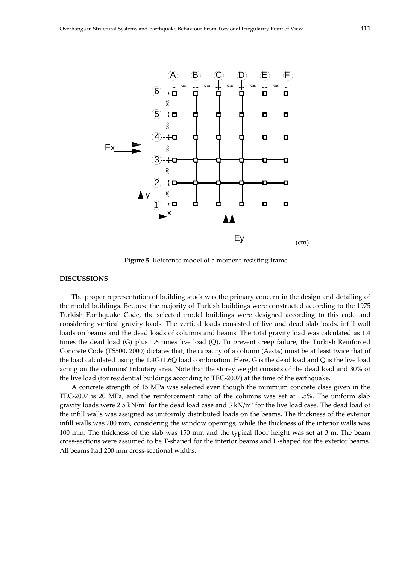

**Figure 5.** Reference model of a moment-resisting frame

### **DISCUSSIONS**

The proper representation of building stock was the primary concern in the design and detailing of the model buildings. Because the majority of Turkish buildings were constructed according to the 1975 Turkish Earthquake Code, the selected model buildings were designed according to this code and considering vertical gravity loads. The vertical loads consisted of live and dead slab loads, infill wall loads on beams and the dead loads of columns and beams. The total gravity load was calculated as 1.4 times the dead load (G) plus 1.6 times live load (Q). To prevent creep failure, the Turkish Reinforced Concrete Code (TS500, 2000) dictates that, the capacity of a column  $(Acxf_c)$  must be at least twice that of the load calculated using the 1.4G+1.6Q load combination. Here, G is the dead load and Q is the live load acting on the columns' tributary area. Note that the storey weight consists of the dead load and 30% of the live load (for residential buildings according to TEC-2007) at the time of the earthquake.

A concrete strength of 15 MPa was selected even though the minimum concrete class given in the TEC-2007 is 20 MPa, and the reinforcement ratio of the columns was set at 1.5%. The uniform slab gravity loads were 2.5 kN/m<sup>2</sup> for the dead load case and 3 kN/m<sup>2</sup> for the live load case. The dead load of the infill walls was assigned as uniformly distributed loads on the beams. The thickness of the exterior infill walls was 200 mm, considering the window openings, while the thickness of the interior walls was 100 mm. The thickness of the slab was 150 mm and the typical floor height was set at 3 m. The beam cross-sections were assumed to be T-shaped for the interior beams and L-shaped for the exterior beams. All beams had 200 mm cross-sectional widths.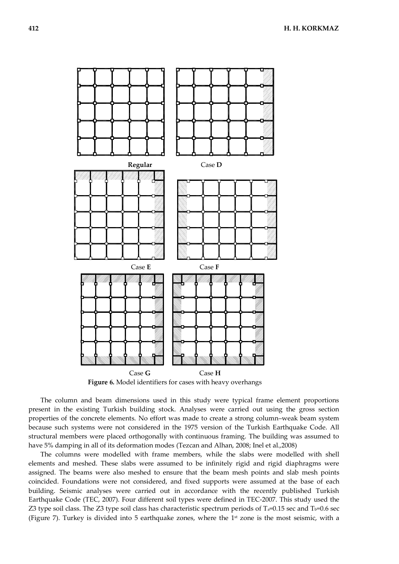

**Figure 6.** Model identifiers for cases with heavy overhangs

The column and beam dimensions used in this study were typical frame element proportions present in the existing Turkish building stock. Analyses were carried out using the gross section properties of the concrete elements. No effort was made to create a strong column–weak beam system because such systems were not considered in the 1975 version of the Turkish Earthquake Code. All structural members were placed orthogonally with continuous framing. The building was assumed to have 5% damping in all of its deformation modes (Tezcan and Alhan, 2008; Inel et al.,2008)

The columns were modelled with frame members, while the slabs were modelled with shell elements and meshed. These slabs were assumed to be infinitely rigid and rigid diaphragms were assigned. The beams were also meshed to ensure that the beam mesh points and slab mesh points coincided. Foundations were not considered, and fixed supports were assumed at the base of each building. Seismic analyses were carried out in accordance with the recently published Turkish Earthquake Code (TEC, 2007). Four different soil types were defined in TEC-2007. This study used the Z3 type soil class. The Z3 type soil class has characteristic spectrum periods of  $T_a=0.15$  sec and  $T_b=0.6$  sec (Figure 7). Turkey is divided into 5 earthquake zones, where the  $1<sup>st</sup>$  zone is the most seismic, with a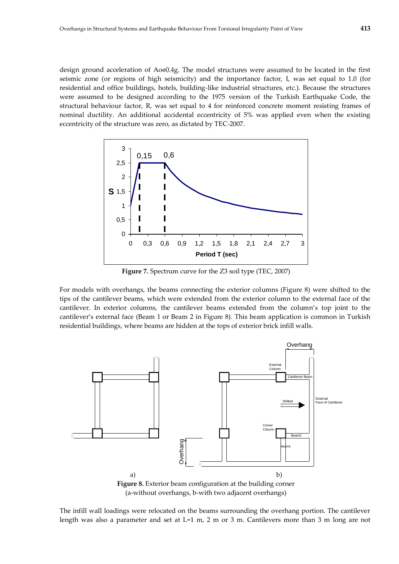design ground acceleration of  $A \circ \theta \circ 0.4g$ . The model structures were assumed to be located in the first seismic zone (or regions of high seismicity) and the importance factor, I, was set equal to 1.0 (for residential and office buildings, hotels, building-like industrial structures, etc.). Because the structures were assumed to be designed according to the 1975 version of the Turkish Earthquake Code, the structural behaviour factor, R, was set equal to 4 for reinforced concrete moment resisting frames of nominal ductility. An additional accidental eccentricity of 5% was applied even when the existing eccentricity of the structure was zero, as dictated by TEC-2007.



**Figure 7.** Spectrum curve for the Z3 soil type (TEC, 2007)

For models with overhangs, the beams connecting the exterior columns (Figure 8) were shifted to the tips of the cantilever beams, which were extended from the exterior column to the external face of the cantilever. In exterior columns, the cantilever beams extended from the column's top joint to the cantilever's external face (Beam 1 or Beam 2 in Figure 8). This beam application is common in Turkish residential buildings, where beams are hidden at the tops of exterior brick infill walls.



The infill wall loadings were relocated on the beams surrounding the overhang portion. The cantilever length was also a parameter and set at L=1 m, 2 m or 3 m. Cantilevers more than 3 m long are not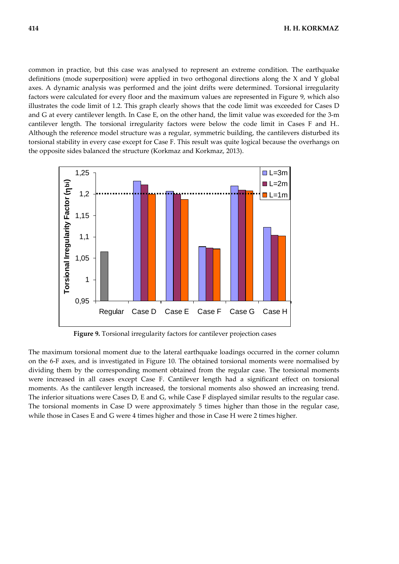**414 H. H. KORKMAZ**

common in practice, but this case was analysed to represent an extreme condition. The earthquake definitions (mode superposition) were applied in two orthogonal directions along the  $X$  and  $Y$  global axes. A dynamic analysis was performed and the joint drifts were determined. Torsional irregularity factors were calculated for every floor and the maximum values are represented in Figure 9, which also illustrates the code limit of 1.2. This graph clearly shows that the code limit was exceeded for Cases D and G at every cantilever length. In Case E, on the other hand, the limit value was exceeded for the 3-m cantilever length. The torsional irregularity factors were below the code limit in Cases F and H.. Although the reference model structure was a regular, symmetric building, the cantilevers disturbed its torsional stability in every case except for Case F. This result was quite logical because the overhangs on the opposite sides balanced the structure (Korkmaz and Korkmaz, 2013).



**Figure 9.** Torsional irregularity factors for cantilever projection cases

The maximum torsional moment due to the lateral earthquake loadings occurred in the corner column on the 6-F axes, and is investigated in Figure 10. The obtained torsional moments were normalised by dividing them by the corresponding moment obtained from the regular case. The torsional moments were increased in all cases except Case F. Cantilever length had a significant effect on torsional moments. As the cantilever length increased, the torsional moments also showed an increasing trend. The inferior situations were Cases D, E and G, while Case F displayed similar results to the regular case. The torsional moments in Case D were approximately 5 times higher than those in the regular case, while those in Cases E and G were 4 times higher and those in Case H were 2 times higher.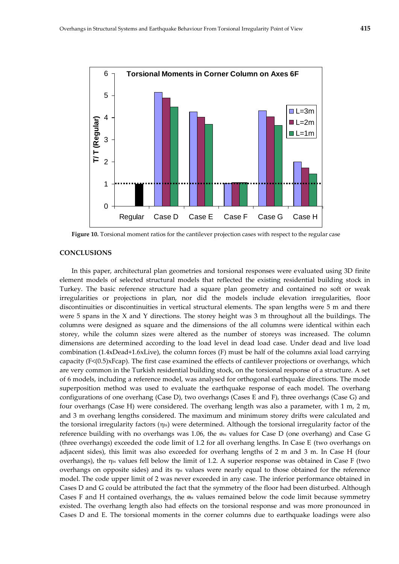

**Figure** 10. Torsional moment ratios for the cantilever projection cases with respect to the regular case

### **CONCLUSIONS**

In this paper, architectural plan geometries and torsional responses were evaluated using 3D finite element models of selected structural models that reflected the existing residential building stock in Turkey. The basic reference structure had a square plan geometry and contained no soft or weak irregularities or projections in plan, nor did the models include elevation irregularities, floor discontinuities or discontinuities in vertical structural elements. The span lengths were 5 m and there were 5 spans in the X and Y directions. The storey height was 3 m throughout all the buildings. The columns were designed as square and the dimensions of the all columns were identical within each storey, while the column sizes were altered as the number of storeys was increased. The column dimensions are determined according to the load level in dead load case. Under dead and live load combination (1.4xDead+1.6xLive), the column forces (F) must be half of the columns axial load carrying capacity (F<(0.5)xFcap). The first case examined the effects of cantilever projections or overhangs, which are very common in the Turkish residential building stock, on the torsional response of a structure. A set of 6 models, including a reference model, was analysed for orthogonal earthquake directions. The mode superposition method was used to evaluate the earthquake response of each model. The overhang configurations of one overhang (Case D), two overhangs (Cases E and F), three overhangs (Case G) and four overhangs (Case H) were considered. The overhang length was also a parameter, with 1 m, 2 m, and 3 m overhang lengths considered. The maximum and minimum storey drifts were calculated and the torsional irregularity factors  $(\eta_{bi})$  were determined. Although the torsional irregularity factor of the reference building with no overhangs was 1.06, the  $\otimes$  values for Case D (one overhang) and Case G (three overhangs) exceeded the code limit of 1.2 for all overhang lengths. In Case E (two overhangs on adjacent sides), this limit was also exceeded for overhang lengths of 2 m and 3 m. In Case H (four overhangs), the  $\eta_{bi}$  values fell below the limit of 1.2. A superior response was obtained in Case F (two overhangs on opposite sides) and its  $\eta_{bi}$  values were nearly equal to those obtained for the reference model. The code upper limit of 2 was never exceeded in any case. The inferior performance obtained in Cases D and G could be attributed the fact that the symmetry of the floor had been disturbed. Although Cases F and H contained overhangs, the  $\otimes$  values remained below the code limit because symmetry existed. The overhang length also had effects on the torsional response and was more pronounced in Cases D and E. The torsional moments in the corner columns due to earthquake loadings were also